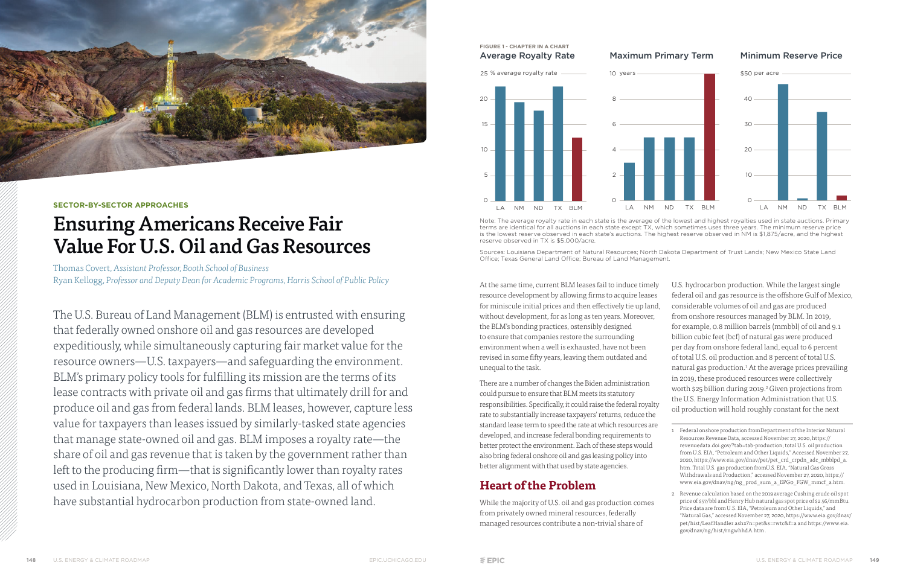At the same time, current BLM leases fail to induce timely resource development by allowing firms to acquire leases for miniscule initial prices and then effectively tie up land, without development, for as long as ten years. Moreover, the BLM's bonding practices, ostensibly designed to ensure that companies restore the surrounding environment when a well is exhausted, have not been revised in some fifty years, leaving them outdated and unequal to the task.

There are a number of changes the Biden administration could pursue to ensure that BLM meets its statutory responsibilities. Specifically, it could raise the federal royalty rate to substantially increase taxpayers' returns, reduce the standard lease term to speed the rate at which resources are developed, and increase federal bonding requirements to better protect the environment. Each of these steps would also bring federal onshore oil and gas leasing policy into better alignment with that used by state agencies.

### **Heart of the Problem**

While the majority of U.S. oil and gas production comes from privately owned mineral resources, federally managed resources contribute a non-trivial share of

U.S. hydrocarbon production. While the largest single federal oil and gas resource is the offshore Gulf of Mexico, considerable volumes of oil and gas are produced from onshore resources managed by BLM. In 2019, for example, 0.8 million barrels (mmbbl) of oil and 9.1 billion cubic feet (bcf) of natural gas were produced per day from onshore federal land, equal to 6 percent of total U.S. oil production and 8 percent of total U.S. natural gas production.<sup>1</sup> At the average prices prevailing in 2019, these produced resources were collectively worth \$25 billion during 2019.<sup>2</sup> Given projections from the U.S. Energy Information Administration that U.S. oil production will hold roughly constant for the next

1 Federal onshore production fromDepartment of the Interior Natural Resources Revenue Data, accessed November 27, 2020, https:// revenuedata.doi.gov/?tab=tab-production; total U.S. oil production from U.S. EIA, "Petroleum and Other Liquids," Accessed November 27, 2020, https://www.eia.gov/dnav/pet/pet\_crd\_crpdn\_adc\_mbblpd\_a. htm. Total U.S. gas production fromU.S. EIA, "Natural Gas Gross Withdrawals and Production," accessed November 27, 2020, https:// www.eia.gov/dnav/ng/ng\_prod\_sum\_a\_EPG0\_FGW\_mmcf\_a.htm.

Sources: Louisiana Department of Natural Resources; North Dakota Department of Trust Lands; New Mexico State Land Office; Texas General Land Office; Bureau of Land Management.

> 2 Revenue calculation based on the 2019 average Cushing crude oil spot price of \$57/bbl and Henry Hub natural gas spot price of \$2.56/mmBtu. Price data are from U.S. EIA, "Petroleum and Other Liquids," and "Natural Gas," accessed November 27, 2020, https://www.eia.gov/dnav/ pet/hist/LeafHandler.ashx?n=pet&s=rwtc&f=a and https://www.eia. gov/dnav/ng/hist/rngwhhdA.htm .



#### **SECTOR-BY-SECTOR APPROACHES**

# Ensuring Americans Receive Fair Value For U.S. Oil and Gas Resources

Thomas Covert, *Assistant Professor, Booth School of Business* Ryan Kellogg, *Professor and Deputy Dean for Academic Programs, Harris School of Public Policy*

The U.S. Bureau of Land Management (BLM) is entrusted with ensuring that federally owned onshore oil and gas resources are developed expeditiously, while simultaneously capturing fair market value for the resource owners—U.S. taxpayers—and safeguarding the environment. BLM's primary policy tools for fulfilling its mission are the terms of its lease contracts with private oil and gas firms that ultimately drill for and produce oil and gas from federal lands. BLM leases, however, capture less value for taxpayers than leases issued by similarly-tasked state agencies that manage state-owned oil and gas. BLM imposes a royalty rate—the share of oil and gas revenue that is taken by the government rather than left to the producing firm—that is significantly lower than royalty rates used in Louisiana, New Mexico, North Dakota, and Texas, all of which have substantial hydrocarbon production from state-owned land.

#### **FIGURE 1 - CHAPTER IN A CHART** Average Royalty Rate Maximum Primary Term Minimum Reserve Price





Note: The average royalty rate in each state is the average of the lowest and highest royalties used in state auctions. Primary terms are identical for all auctions in each state except TX, which sometimes uses three years. The minimum reserve price is the lowest reserve observed in each state's auctions. The highest reserve observed in NM is \$1,875/acre, and the highest reserve observed in TX is \$5,000/acre.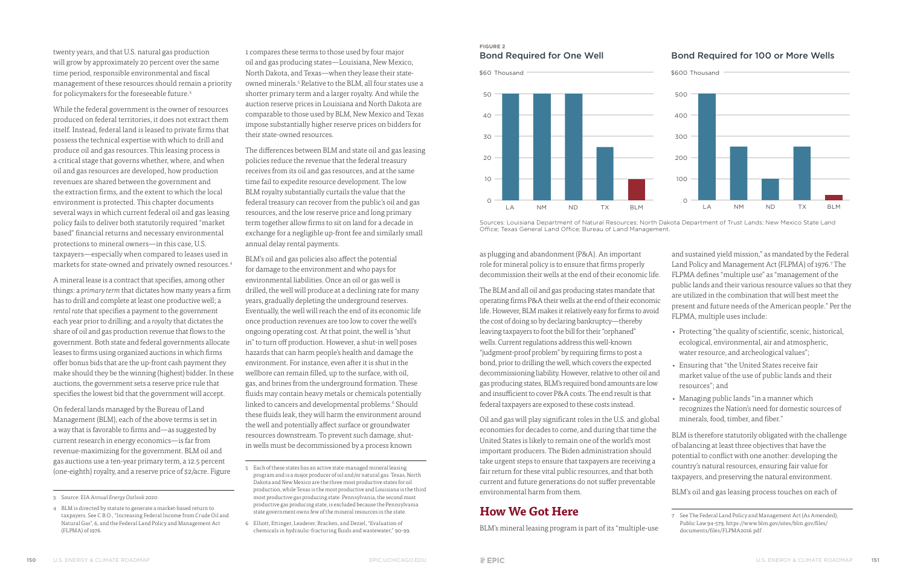The BLM and all oil and gas producing states mandate that operating firms P&A their wells at the end of their economic life. However, BLM makes it relatively easy for firms to avoid the cost of doing so by declaring bankruptcy—thereby leaving taxpayers to foot the bill for their "orphaned" wells. Current regulations address this well-known "judgment-proof problem" by requiring firms to post a bond, prior to drilling the well, which covers the expected decommissioning liability. However, relative to other oil and gas producing states, BLM's required bond amounts are low and insufficient to cover P&A costs. The end result is that federal taxpayers are exposed to these costs instead.

Oil and gas will play significant roles in the U.S. and global economies for decades to come, and during that time the United States is likely to remain one of the world's most important producers. The Biden administration should take urgent steps to ensure that taxpayers are receiving a fair return for these vital public resources, and that both current and future generations do not suffer preventable environmental harm from them.

as plugging and abandonment (P&A). An important role for mineral policy is to ensure that firms properly decommission their wells at the end of their economic life. and sustained yield mission," as mandated by the Federal Land Policy and Management Act (FLPMA) of 1976.7 The FLPMA defines "multiple use" as "management of the public lands and their various resource values so that they are utilized in the combination that will best meet the present and future needs of the American people." Per the FLPMA, multiple uses include:

## **How We Got Here**

BLM's mineral leasing program is part of its "multiple-use

BLM is therefore statutorily obligated with the challenge of balancing at least three objectives that have the potential to conflict with one another: developing the country's natural resources, ensuring fair value for taxpayers, and preserving the natural environment.

BLM's oil and gas leasing process touches on each of

twenty years, and that U.S. natural gas production will grow by approximately 20 percent over the same time period, responsible environmental and fiscal management of these resources should remain a priority for policymakers for the foreseeable future.3

> The differences between BLM and state oil and gas leasing policies reduce the revenue that the federal treasury receives from its oil and gas resources, and at the same time fail to expedite resource development. The low BLM royalty substantially curtails the value that the federal treasury can recover from the public's oil and gas resources, and the low reserve price and long primary term together allow firms to sit on land for a decade in exchange for a negligible up-front fee and similarly small annual delay rental payments.

While the federal government is the owner of resources produced on federal territories, it does not extract them itself. Instead, federal land is leased to private firms that possess the technical expertise with which to drill and produce oil and gas resources. This leasing process is a critical stage that governs whether, where, and when oil and gas resources are developed, how production revenues are shared between the government and the extraction firms, and the extent to which the local environment is protected. This chapter documents several ways in which current federal oil and gas leasing policy fails to deliver both statutorily required "market based" financial returns and necessary environmental protections to mineral owners—in this case, U.S. taxpayers—especially when compared to leases used in markets for state-owned and privately owned resources.4

A mineral lease is a contract that specifies, among other things: a *primary term* that dictates how many years a firm has to drill and complete at least one productive well; a *rental rate* that specifies a payment to the government each year prior to drilling; and a *royalty* that dictates the share of oil and gas production revenue that flows to the government. Both state and federal governments allocate leases to firms using organized auctions in which firms offer bonus bids that are the up-front cash payment they make should they be the winning (highest) bidder. In these auctions, the government sets a reserve price rule that specifies the lowest bid that the government will accept.

BLM's oil and gas policies also affect the potential for damage to the environment and who pays for environmental liabilities. Once an oil or gas well is drilled, the well will produce at a declining rate for many years, gradually depleting the underground reserves. Eventually, the well will reach the end of its economic life once production revenues are too low to cover the well's ongoing operating cost. At that point, the well is "shut in" to turn off production. However, a shut-in well poses hazards that can harm people's health and damage the environment. For instance, even after it is shut in the wellbore can remain filled, up to the surface, with oil, gas, and brines from the underground formation. These fluids may contain heavy metals or chemicals potentially linked to cancers and developmental problems.<sup>6</sup> Should these fluids leak, they will harm the environment around the well and potentially affect surface or groundwater resources downstream. To prevent such damage, shutin wells must be decommissioned by a process known

6 Elliott, Ettinger, Leaderer, Bracken, and Deziel, "Evaluation of chemicals in hydraulic-fracturing fluids and wastewater," 90-99.



Sources: Louisiana Department of Natural Resources; North Dakota Department of Trust Lands; New Mexico State Land Office; Texas General Land Office; Bureau of Land Management.

On federal lands managed by the Bureau of Land Management (BLM), each of the above terms is set in a way that is favorable to firms and—as suggested by current research in energy economics—is far from revenue-maximizing for the government. BLM oil and gas auctions use a ten-year primary term, a 12.5 percent (one-eighth) royalty, and a reserve price of \$2/acre. Figure 1 compares these terms to those used by four major oil and gas producing states—Louisiana, New Mexico, North Dakota, and Texas—when they lease their stateowned minerals.5 Relative to the BLM, all four states use a shorter primary term and a larger royalty. And while the auction reserve prices in Louisiana and North Dakota are comparable to those used by BLM, New Mexico and Texas impose substantially higher reserve prices on bidders for their state-owned resources.

# **FIGURE 2**



### Bond Required for One Well Bond Required for 100 or More Wells

- Protecting "the quality of scientific, scenic, historical, ecological, environmental, air and atmospheric, water resource, and archeological values";
- Ensuring that "the United States receive fair market value of the use of public lands and their resources"; and
- Managing public lands "in a manner which recognizes the Nation's need for domestic sources of minerals, food, timber, and fiber."

<sup>7</sup> See The Federal Land Policy and Management Act (As Amended), Public Law 94-579, https://www.blm.gov/sites/blm.gov/files/ documents/files/FLPMA2016.pdf.

<sup>3</sup> Source: EIA *Annual Energy Outlook 2020*.

<sup>4</sup> BLM is directed by statute to generate a market-based return to taxpayers. See C.B.O., "Increasing Federal Income from Crude Oil and Natural Gas", 6, and the Federal Land Policy and Management Act (FLPMA) of 1976.

<sup>5</sup> Each of these states has an active state-managed mineral leasing program and is a major producer of oil and/or natural gas. Texas, North Dakota and New Mexico are the three most productive states for oil production, while Texas is the most productive and Louisiana is the third most productive gas producing state. Pennsylvania, the second most productive gas producing state, is excluded because the Pennsylvania state government owns few of the mineral resources in the state.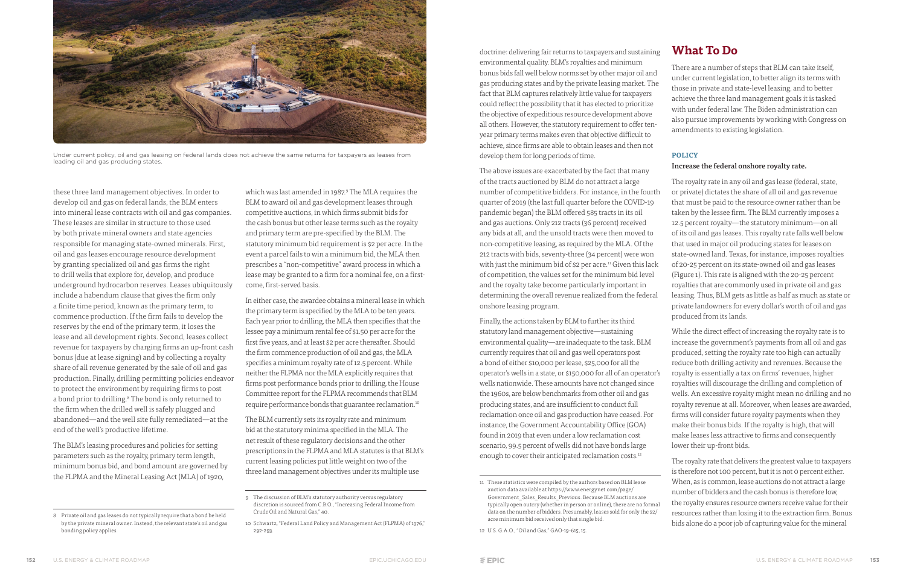doctrine: delivering fair returns to taxpayers and sustaining environmental quality. BLM's royalties and minimum bonus bids fall well below norms set by other major oil and gas producing states and by the private leasing market. The fact that BLM captures relatively little value for taxpayers could reflect the possibility that it has elected to prioritize the objective of expeditious resource development above all others. However, the statutory requirement to offer tenyear primary terms makes even that objective difficult to achieve, since firms are able to obtain leases and then not develop them for long periods of time.

Finally, the actions taken by BLM to further its third statutory land management objective—sustaining environmental quality—are inadequate to the task. BLM currently requires that oil and gas well operators post a bond of either \$10,000 per lease, \$25,000 for all the operator's wells in a state, or \$150,000 for all of an operator's wells nationwide. These amounts have not changed since the 1960s, are below benchmarks from other oil and gas producing states, and are insufficient to conduct full reclamation once oil and gas production have ceased. For instance, the Government Accountability Office (GOA) found in 2019 that even under a low reclamation cost scenario, 99.5 percent of wells did not have bonds large enough to cover their anticipated reclamation costs.<sup>12</sup>

The above issues are exacerbated by the fact that many of the tracts auctioned by BLM do not attract a large number of competitive bidders. For instance, in the fourth quarter of 2019 (the last full quarter before the COVID-19 pandemic began) the BLM offered 585 tracts in its oil and gas auctions. Only 212 tracts (36 percent) received any bids at all, and the unsold tracts were then moved to non-competitive leasing, as required by the MLA. Of the 212 tracts with bids, seventy-three (34 percent) were won with just the minimum bid of \$2 per acre.<sup>11</sup> Given this lack of competition, the values set for the minimum bid level and the royalty take become particularly important in determining the overall revenue realized from the federal onshore leasing program. The royalty rate in any oil and gas lease (federal, state, or private) dictates the share of all oil and gas revenue that must be paid to the resource owner rather than be taken by the lessee firm. The BLM currently imposes a 12.5 percent royalty—the statutory minimum—on all of its oil and gas leases. This royalty rate falls well below that used in major oil producing states for leases on state-owned land. Texas, for instance, imposes royalties of 20-25 percent on its state-owned oil and gas leases (Figure 1). This rate is aligned with the 20-25 percent royalties that are commonly used in private oil and gas leasing. Thus, BLM gets as little as half as much as state or private landowners for every dollar's worth of oil and gas produced from its lands.

> While the direct effect of increasing the royalty rate is to increase the government's payments from all oil and gas produced, setting the royalty rate too high can actually reduce both drilling activity and revenues. Because the royalty is essentially a tax on firms' revenues, higher royalties will discourage the drilling and completion of wells. An excessive royalty might mean no drilling and no royalty revenue at all. Moreover, when leases are awarded, firms will consider future royalty payments when they make their bonus bids. If the royalty is high, that will make leases less attractive to firms and consequently lower their up-front bids.

## **What To Do**

There are a number of steps that BLM can take itself, under current legislation, to better align its terms with those in private and state-level leasing, and to better achieve the three land management goals it is tasked with under federal law. The Biden administration can also pursue improvements by working with Congress on amendments to existing legislation.

#### **POLICY**

#### Increase the federal onshore royalty rate.

The royalty rate that delivers the greatest value to taxpayers is therefore not 100 percent, but it is not 0 percent either. When, as is common, lease auctions do not attract a large number of bidders and the cash bonus is therefore low, the royalty ensures resource owners receive value for their resources rather than losing it to the extraction firm. Bonus bids alone do a poor job of capturing value for the mineral

these three land management objectives. In order to develop oil and gas on federal lands, the BLM enters into mineral lease contracts with oil and gas companies. These leases are similar in structure to those used by both private mineral owners and state agencies responsible for managing state-owned minerals. First, oil and gas leases encourage resource development by granting specialized oil and gas firms the right to drill wells that explore for, develop, and produce underground hydrocarbon reserves. Leases ubiquitously include a habendum clause that gives the firm only a finite time period, known as the primary term, to commence production. If the firm fails to develop the reserves by the end of the primary term, it loses the lease and all development rights. Second, leases collect revenue for taxpayers by charging firms an up-front cash bonus (due at lease signing) and by collecting a royalty share of all revenue generated by the sale of oil and gas production. Finally, drilling permitting policies endeavor to protect the environment by requiring firms to post a bond prior to drilling.<sup>8</sup> The bond is only returned to the firm when the drilled well is safely plugged and abandoned—and the well site fully remediated—at the end of the well's productive lifetime.

The BLM's leasing procedures and policies for setting parameters such as the royalty, primary term length, minimum bonus bid, and bond amount are governed by the FLPMA and the Mineral Leasing Act (MLA) of 1920,

which was last amended in 1987.<sup>9</sup> The MLA requires the BLM to award oil and gas development leases through competitive auctions, in which firms submit bids for the cash bonus but other lease terms such as the royalty and primary term are pre-specified by the BLM. The statutory minimum bid requirement is \$2 per acre. In the event a parcel fails to win a minimum bid, the MLA then prescribes a "non-competitive" award process in which a lease may be granted to a firm for a nominal fee, on a firstcome, first-served basis.

In either case, the awardee obtains a mineral lease in which the primary term is specified by the MLA to be ten years. Each year prior to drilling, the MLA then specifies that the lessee pay a minimum rental fee of \$1.50 per acre for the first five years, and at least \$2 per acre thereafter. Should the firm commence production of oil and gas, the MLA specifies a minimum royalty rate of 12.5 percent. While neither the FLPMA nor the MLA explicitly requires that firms post performance bonds prior to drilling, the House Committee report for the FLPMA recommends that BLM require performance bonds that guarantee reclamation.10

The BLM currently sets its royalty rate and minimum bid at the statutory minima specified in the MLA. The net result of these regulatory decisions and the other prescriptions in the FLPMA and MLA statutes is that BLM's current leasing policies put little weight on two of the three land management objectives under its multiple use



Under current policy, oil and gas leasing on federal lands does not achieve the same returns for taxpayers as leases from leading oil and gas producing states.

<sup>11</sup> These statistics were compiled by the authors based on BLM lease auction data available at https://www.energynet.com/page/ Government\_Sales\_Results\_Previous. Because BLM auctions are typically open outcry (whether in person or online), there are no formal data on the number of bidders. Presumably, leases sold for only the \$2/ acre minimum bid received only that single bid.

<sup>12</sup> U.S. G.A.O., "Oil and Gas," GAO-19-615, 15.

<sup>8</sup> Private oil and gas leases do not typically require that a bond be held by the private mineral owner. Instead, the relevant state's oil and gas bonding policy applies.

<sup>9</sup> The discussion of BLM's statutory authority versus regulatory discretion is sourced from C.B.O., "Increasing Federal Income from Crude Oil and Natural Gas," 40.

<sup>10</sup> Schwartz, "Federal Land Policy and Management Act (FLPMA) of 1976," 292-293.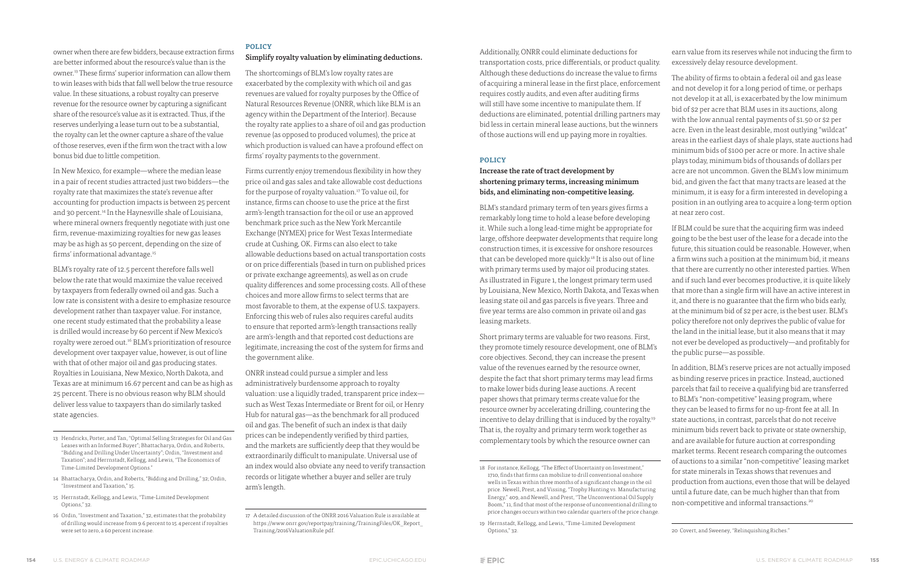Additionally, ONRR could eliminate deductions for transportation costs, price differentials, or product quality. Although these deductions do increase the value to firms of acquiring a mineral lease in the first place, enforcement requires costly audits, and even after auditing firms will still have some incentive to manipulate them. If deductions are eliminated, potential drilling partners may bid less in certain mineral lease auctions, but the winners of those auctions will end up paying more in royalties.

#### **POLICY**

### Increase the rate of tract development by shortening primary terms, increasing minimum bids, and eliminating non-competitive leasing.

BLM's standard primary term of ten years gives firms a remarkably long time to hold a lease before developing it. While such a long lead-time might be appropriate for large, offshore deepwater developments that require long construction times, it is excessive for onshore resources that can be developed more quickly.18 It is also out of line with primary terms used by major oil producing states. As illustrated in Figure 1, the longest primary term used by Louisiana, New Mexico, North Dakota, and Texas when leasing state oil and gas parcels is five years. Three and five year terms are also common in private oil and gas leasing markets.

earn value from its reserves while not inducing the firm to excessively delay resource development.

Short primary terms are valuable for two reasons. First, they promote timely resource development, one of BLM's core objectives. Second, they can increase the present value of the revenues earned by the resource owner, despite the fact that short primary terms may lead firms to make lower bids during lease auctions. A recent paper shows that primary terms create value for the resource owner by accelerating drilling, countering the incentive to delay drilling that is induced by the royalty.<sup>19</sup> That is, the royalty and primary term work together as complementary tools by which the resource owner can

The ability of firms to obtain a federal oil and gas lease and not develop it for a long period of time, or perhaps not develop it at all, is exacerbated by the low minimum bid of \$2 per acre that BLM uses in its auctions, along with the low annual rental payments of \$1.50 or \$2 per acre. Even in the least desirable, most outlying "wildcat" areas in the earliest days of shale plays, state auctions had minimum bids of \$100 per acre or more. In active shale plays today, minimum bids of thousands of dollars per acre are not uncommon. Given the BLM's low minimum bid, and given the fact that many tracts are leased at the minimum, it is easy for a firm interested in developing a position in an outlying area to acquire a long-term option at near zero cost.

If BLM could be sure that the acquiring firm was indeed going to be the best user of the lease for a decade into the future, this situation could be reasonable. However, when a firm wins such a position at the minimum bid, it means that there are currently no other interested parties. When and if such land ever becomes productive, it is quite likely that more than a single firm will have an active interest in it, and there is no guarantee that the firm who bids early, at the minimum bid of \$2 per acre, is the best user. BLM's policy therefore not only deprives the public of value for the land in the initial lease, but it also means that it may not ever be developed as productively—and profitably for the public purse—as possible.

owner when there are few bidders, because extraction firms are better informed about the resource's value than is the owner.<sup>13</sup> These firms' superior information can allow them to win leases with bids that fall well below the true resource value. In these situations, a robust royalty can preserve revenue for the resource owner by capturing a significant share of the resource's value as it is extracted. Thus, if the reserves underlying a lease turn out to be a substantial, the royalty can let the owner capture a share of the value of those reserves, even if the firm won the tract with a low bonus bid due to little competition.

In New Mexico, for example—where the median lease in a pair of recent studies attracted just two bidders—the royalty rate that maximizes the state's revenue after accounting for production impacts is between 25 percent and 30 percent.<sup>14</sup> In the Haynesville shale of Louisiana, where mineral owners frequently negotiate with just one firm, revenue-maximizing royalties for new gas leases may be as high as 50 percent, depending on the size of firms' informational advantage.<sup>15</sup>

The shortcomings of BLM's low royalty rates are exacerbated by the complexity with which oil and gas revenues are valued for royalty purposes by the Office of Natural Resources Revenue (ONRR, which like BLM is an agency within the Department of the Interior). Because the royalty rate applies to a share of oil and gas production revenue (as opposed to produced volumes), the price at which production is valued can have a profound effect on firms' royalty payments to the government.

> In addition, BLM's reserve prices are not actually imposed as binding reserve prices in practice. Instead, auctioned parcels that fail to receive a qualifying bid are transferred to BLM's "non-competitive" leasing program, where they can be leased to firms for no up-front fee at all. In state auctions, in contrast, parcels that do not receive minimum bids revert back to private or state ownership, and are available for future auction at corresponding market terms. Recent research comparing the outcomes of auctions to a similar "non-competitive" leasing market for state minerals in Texas shows that revenues and production from auctions, even those that will be delayed until a future date, can be much higher than that from non-competitive and informal transactions.20

Firms currently enjoy tremendous flexibility in how they price oil and gas sales and take allowable cost deductions for the purpose of royalty valuation.17 To value oil, for instance, firms can choose to use the price at the first arm's-length transaction for the oil or use an approved benchmark price such as the New York Mercantile Exchange (NYMEX) price for West Texas Intermediate crude at Cushing, OK. Firms can also elect to take allowable deductions based on actual transportation costs or on price differentials (based in turn on published prices or private exchange agreements), as well as on crude quality differences and some processing costs. All of these choices and more allow firms to select terms that are most favorable to them, at the expense of U.S. taxpayers. Enforcing this web of rules also requires careful audits to ensure that reported arm's-length transactions really are arm's-length and that reported cost deductions are legitimate, increasing the cost of the system for firms and the government alike.

BLM's royalty rate of 12.5 percent therefore falls well below the rate that would maximize the value received by taxpayers from federally owned oil and gas. Such a low rate is consistent with a desire to emphasize resource development rather than taxpayer value. For instance, one recent study estimated that the probability a lease is drilled would increase by 60 percent if New Mexico's royalty were zeroed out.16 BLM's prioritization of resource development over taxpayer value, however, is out of line with that of other major oil and gas producing states. Royalties in Louisiana, New Mexico, North Dakota, and Texas are at minimum 16.67 percent and can be as high as 25 percent. There is no obvious reason why BLM should deliver less value to taxpayers than do similarly tasked state agencies.

- 13 Hendricks, Porter, and Tan, "Optimal Selling Strategies for Oil and Gas Leases with an Informed Buyer"; Bhattacharya, Ordin, and Roberts, "Bidding and Drilling Under Uncertainty"; Ordin, "Investment and Taxation"; and Herrnstadt, Kellogg, and Lewis, "The Economics of Time-Limited Development Options."
- 14 Bhattacharya, Ordin, and Roberts, "Bidding and Drilling," 32; Ordin, "Investment and Taxation," 15.
- 15 Herrnstadt, Kellogg, and Lewis, "Time-Limited Development Options," 32.
- 16 Ordin, "Investment and Taxation," 32, estimates that the probability of drilling would increase from 9.6 percent to 15.4 percent if royalties were set to zero, a 60 percent increase.

### **POLICY**

#### Simplify royalty valuation by eliminating deductions.

ONRR instead could pursue a simpler and less administratively burdensome approach to royalty valuation: use a liquidly traded, transparent price index such as West Texas Intermediate or Brent for oil, or Henry Hub for natural gas—as the benchmark for all produced oil and gas. The benefit of such an index is that daily prices can be independently verified by third parties, and the markets are sufficiently deep that they would be extraordinarily difficult to manipulate. Universal use of an index would also obviate any need to verify transaction records or litigate whether a buyer and seller are truly arm's length.

<sup>18</sup> For instance, Kellogg, "The Effect of Uncertainty on Investment," 1710, finds that firms can mobilize to drill conventional onshore wells in Texas within three months of a significant change in the oil price. Newell, Prest, and Vissing, "Trophy Hunting vs. Manufacturing Energy," 409, and Newell, and Prest, "The Unconventional Oil Supply Boom," 11, find that most of the response of unconventional drilling to price changes occurs within two calendar quarters of the price change.

<sup>19</sup> Herrnstadt, Kellogg, and Lewis, "Time-Limited Development Options," 32.

<sup>20</sup> Covert, and Sweeney, "Relinquishing Riches."

<sup>17</sup> A detailed discussion of the ONRR 2016 Valuation Rule is available at https://www.onrr.gov/reportpay/training/TrainingFiles/OK\_Report\_ Training/2016ValuationRule.pdf.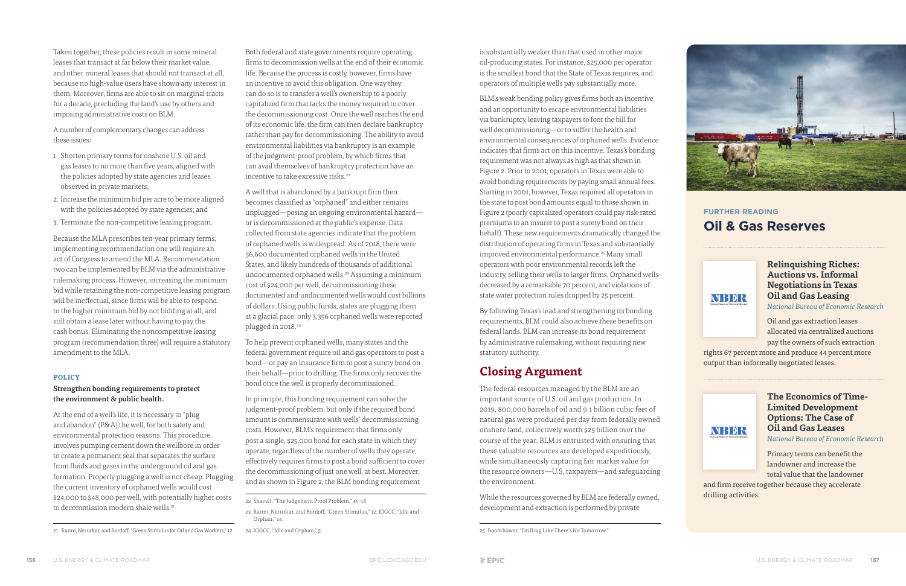is substantially weaker than that used in other major oil-producing states. For instance, \$25,000 per operator is the smallest bond that the State of Texas requires, and operators of multiple wells pay substantially more.

BLM's weak bonding policy gives firms both an incentive and an opportunity to escape environmental liabilities via bankruptcy, leaving taxpayers to foot the bill for well decommissioning—or to suffer the health and environmental consequences of orphaned wells. Evidence indicates that firms act on this incentive. Texas's bonding requirement was not always as high as that shown in Figure 2. Prior to 2001, operators in Texas were able to avoid bonding requirements by paying small annual fees. Starting in 2001, however, Texas required all operators in the state to post bond amounts equal to those shown in Figure 2 (poorly capitalized operators could pay risk-rated premiums to an insurer to post a surety bond on their behalf). These new requirements dramatically changed the distribution of operating firms in Texas and substantially improved environmental performance.<sup>25</sup> Many small operators with poor environmental records left the industry, selling their wells to larger firms. Orphaned wells decreased by a remarkable 70 percent, and violations of state water protection rules dropped by 25 percent.

By following Texas's lead and strengthening its bonding requirements, BLM could also achieve these benefits on federal lands. BLM can increase its bond requirement by administrative rulemaking, without requiring new statutory authority.

### **Closing Argument**

The federal resources managed by the BLM are an important source of U.S. oil and gas production. In 2019, 800,000 barrels of oil and 9.1 billion cubic feet of natural gas were produced per day from federally owned onshore land, collectively worth \$25 billion over the course of the year. BLM is entrusted with ensuring that these valuable resources are developed expeditiously, while simultaneously capturing fair market value for the resource owners—U.S. taxpayers—and safeguarding the environment.

At the end of a well's life, it is necessary to "plug and abandon" (P&A) the well, for both safety and environmental protection reasons. This procedure involves pumping cement down the wellbore in order to create a permanent seal that separates the surface from fluids and gases in the underground oil and gas formation. Properly plugging a well is not cheap. Plugging the current inventory of orphaned wells would cost \$24,000 to \$48,000 per well, with potentially higher costs to decommission modern shale wells.<sup>21</sup>

While the resources governed by BLM are federally owned, development and extraction is performed by private

Both federal and state governments require operating firms to decommission wells at the end of their economic life. Because the process is costly, however, firms have an incentive to avoid this obligation. One way they can do so is to transfer a well's ownership to a poorly capitalized firm that lacks the money required to cover the decommissioning cost. Once the well reaches the end of its economic life, the firm can then declare bankruptcy rather than pay for decommissioning. The ability to avoid environmental liabilities via bankruptcy is an example of the judgment-proof problem, by which firms that can avail themselves of bankruptcy protection have an incentive to take excessive risks.<sup>22</sup>



Taken together, these policies result in some mineral leases that transact at far below their market value, and other mineral leases that should not transact at all, because no high-value users have shown any interest in them. Moreover, firms are able to sit on marginal tracts for a decade, precluding the land's use by others and imposing administrative costs on BLM.

A number of complementary changes can address these issues:

- 1. Shorten primary terms for onshore U.S. oil and gas leases to no more than five years, aligned with the policies adopted by state agencies and leases observed in private markets;
- 2. Increase the minimum bid per acre to be more aligned with the policies adopted by state agencies; and
- 3. Terminate the non-competitive leasing program.

A well that is abandoned by a bankrupt firm then becomes classified as "orphaned" and either remains unplugged—posing an ongoing environmental hazard or is decommissioned at the public's expense. Data collected from state agencies indicate that the problem of orphaned wells is widespread. As of 2018, there were 56,600 documented orphaned wells in the United States, and likely hundreds of thousands of additional undocumented orphaned wells.23 Assuming a minimum cost of \$24,000 per well, decommissioning these documented and undocumented wells would cost billions of dollars. Using public funds, states are plugging them at a glacial pace: only 3,356 orphaned wells were reported plugged in 2018.24

Because the MLA prescribes ten-year primary terms, implementing recommendation one will require an act of Congress to amend the MLA. Recommendation two can be implemented by BLM via the administrative rulemaking process. However, increasing the minimum bid while retaining the non-competitive leasing program will be ineffectual, since firms will be able to respond to the higher minimum bid by not bidding at all, and still obtain a lease later without having to pay the cash bonus. Eliminating the noncompetitive leasing program (recommendation three) will require a statutory amendment to the MLA.

> Primary terms can benefit the landowner and increase the total value that the landowner

#### **POLICY**

and firm receive together because they accelerate drilling activities.

#### Strengthen bonding requirements to protect the environment & public health.

To help prevent orphaned wells, many states and the federal government require oil and gas operators to post a bond—or pay an insurance firm to post a surety bond on their behalf—prior to drilling. The firms only recover the bond once the well is properly decommissioned.

In principle, this bonding requirement can solve the judgment-proof problem, but only if the required bond amount is commensurate with wells' decommissioning costs. However, BLM's requirement that firms only post a single, \$25,000 bond for each state in which they operate, regardless of the number of wells they operate, effectively requires firms to post a bond sufficient to cover the decommissioning of just one well, at best. Moreover, and as shown in Figure 2, the BLM bonding requirement

### **FURTHER READING Oil & Gas Reserves**



**Relinquishing Riches: Auctions vs. Informal Negotiations in Texas Oil and Gas Leasing**  *National Bureau of Economic Research*

Oil and gas extraction leases allocated via centralized auctions pay the owners of such extraction

rights 67 percent more and produce 44 percent more output than informally negotiated leases.



**The Economics of Time-Limited Development Options: The Case of Oil and Gas Leases**

*National Bureau of Economic Research*

<sup>21</sup> Raimi, Nerurkar, and Bordoff, "Green Stimulus for Oil and Gas Workers," 12.

<sup>25</sup> Boomhower, "Drilling Like There's No Tomorrow."

<sup>23</sup> Raimi, Nerurkar, and Bordoff, "Green Stimulus," 12; IOGCC, "Idle and Orphan," 14.

<sup>22</sup> Shavell, "The Judgement Proof Problem," 45-58.

<sup>24</sup> IOGCC, "Idle and Orphan," 5.